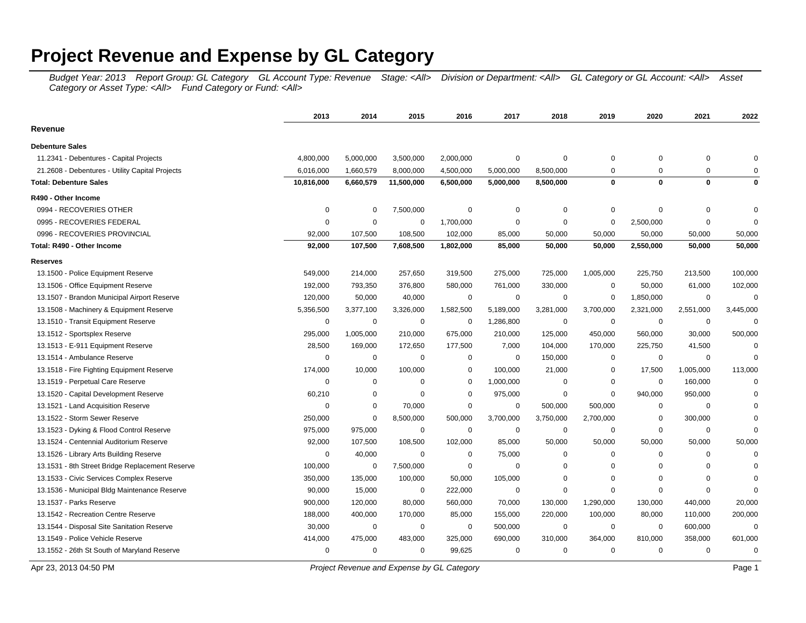## **Project Revenue and Expense by GL Category**

Budget Year: 2013 Report Group: GL Category GL Account Type: Revenue Stage: <All> Division or Department: <All> GL Category or GL Account: <All> Asset Category or Asset Type: <All> Fund Category or Fund: <All>

|                                                 | 2013        | 2014        | 2015        | 2016        | 2017        | 2018        | 2019           | 2020        | 2021        | 2022        |
|-------------------------------------------------|-------------|-------------|-------------|-------------|-------------|-------------|----------------|-------------|-------------|-------------|
| Revenue                                         |             |             |             |             |             |             |                |             |             |             |
| <b>Debenture Sales</b>                          |             |             |             |             |             |             |                |             |             |             |
| 11.2341 - Debentures - Capital Projects         | 4,800,000   | 5,000,000   | 3,500,000   | 2,000,000   | 0           | 0           | 0              | 0           | $\mathbf 0$ | $\Omega$    |
| 21.2608 - Debentures - Utility Capital Projects | 6,016,000   | 1,660,579   | 8,000,000   | 4,500,000   | 5,000,000   | 8,500,000   | $\overline{0}$ | $\Omega$    | 0           | $\Omega$    |
| <b>Total: Debenture Sales</b>                   | 10,816,000  | 6,660,579   | 11,500,000  | 6,500,000   | 5,000,000   | 8,500,000   | $\bf{0}$       | $\mathbf 0$ | $\mathbf 0$ | 0           |
| R490 - Other Income                             |             |             |             |             |             |             |                |             |             |             |
| 0994 - RECOVERIES OTHER                         | $\mathbf 0$ | 0           | 7,500,000   | 0           | 0           | 0           | $\mathbf 0$    | $\mathbf 0$ | $\mathbf 0$ | 0           |
| 0995 - RECOVERIES FEDERAL                       | $\mathbf 0$ | $\mathbf 0$ | $\mathbf 0$ | 1,700,000   | $\mathbf 0$ | $\mathbf 0$ | $\mathbf 0$    | 2,500,000   | $\mathbf 0$ | $\mathbf 0$ |
| 0996 - RECOVERIES PROVINCIAL                    | 92,000      | 107,500     | 108,500     | 102,000     | 85,000      | 50,000      | 50,000         | 50,000      | 50,000      | 50,000      |
| Total: R490 - Other Income                      | 92,000      | 107,500     | 7,608,500   | 1,802,000   | 85,000      | 50,000      | 50,000         | 2,550,000   | 50,000      | 50,000      |
| <b>Reserves</b>                                 |             |             |             |             |             |             |                |             |             |             |
| 13.1500 - Police Equipment Reserve              | 549,000     | 214,000     | 257,650     | 319,500     | 275,000     | 725,000     | 1,005,000      | 225,750     | 213,500     | 100,000     |
| 13.1506 - Office Equipment Reserve              | 192,000     | 793,350     | 376,800     | 580,000     | 761,000     | 330,000     | 0              | 50,000      | 61,000      | 102,000     |
| 13.1507 - Brandon Municipal Airport Reserve     | 120,000     | 50,000      | 40,000      | $\mathbf 0$ | $\mathbf 0$ | $\mathbf 0$ | $\mathbf 0$    | 1,850,000   | $\mathbf 0$ | $\Omega$    |
| 13.1508 - Machinery & Equipment Reserve         | 5,356,500   | 3,377,100   | 3,326,000   | 1,582,500   | 5,189,000   | 3,281,000   | 3,700,000      | 2,321,000   | 2,551,000   | 3,445,000   |
| 13.1510 - Transit Equipment Reserve             | $\mathbf 0$ | 0           | 0           | $\mathbf 0$ | 1,286,800   | 0           | $\mathbf 0$    | $\mathbf 0$ | $\mathbf 0$ | $\Omega$    |
| 13.1512 - Sportsplex Reserve                    | 295,000     | 1,005,000   | 210,000     | 675,000     | 210,000     | 125,000     | 450,000        | 560,000     | 30,000      | 500,000     |
| 13.1513 - E-911 Equipment Reserve               | 28,500      | 169,000     | 172,650     | 177,500     | 7,000       | 104,000     | 170,000        | 225,750     | 41,500      | $\Omega$    |
| 13.1514 - Ambulance Reserve                     | $\mathbf 0$ | $\mathbf 0$ | $\mathbf 0$ | 0           | $\mathbf 0$ | 150,000     | $\mathbf 0$    | $\mathbf 0$ | $\mathbf 0$ | $\Omega$    |
| 13.1518 - Fire Fighting Equipment Reserve       | 174,000     | 10,000      | 100,000     | 0           | 100,000     | 21,000      | 0              | 17,500      | 1,005,000   | 113,000     |
| 13.1519 - Perpetual Care Reserve                | $\mathbf 0$ | $\mathbf 0$ | $\mathbf 0$ | $\mathbf 0$ | 1,000,000   | $\mathbf 0$ | $\mathbf 0$    | $\mathbf 0$ | 160,000     | $\Omega$    |
| 13.1520 - Capital Development Reserve           | 60,210      | 0           | $\mathbf 0$ | 0           | 975,000     | 0           | $\mathbf 0$    | 940,000     | 950,000     | $\Omega$    |
| 13.1521 - Land Acquisition Reserve              | $\mathbf 0$ | $\mathbf 0$ | 70,000      | $\mathbf 0$ | $\mathbf 0$ | 500,000     | 500,000        | $\mathbf 0$ | $\mathbf 0$ | $\Omega$    |
| 13.1522 - Storm Sewer Reserve                   | 250,000     | $\mathbf 0$ | 8,500,000   | 500,000     | 3,700,000   | 3,750,000   | 2,700,000      | $\mathbf 0$ | 300,000     | $\Omega$    |
| 13.1523 - Dyking & Flood Control Reserve        | 975,000     | 975,000     | 0           | 0           | $\mathbf 0$ | 0           | $\mathbf 0$    | 0           | $\mathbf 0$ | $\Omega$    |
| 13.1524 - Centennial Auditorium Reserve         | 92,000      | 107,500     | 108,500     | 102,000     | 85,000      | 50,000      | 50,000         | 50,000      | 50,000      | 50,000      |
| 13.1526 - Library Arts Building Reserve         | $\mathbf 0$ | 40,000      | $\mathbf 0$ | 0           | 75,000      | $\mathbf 0$ | $\mathbf 0$    | 0           | $\mathbf 0$ | $\Omega$    |
| 13.1531 - 8th Street Bridge Replacement Reserve | 100,000     | 0           | 7,500,000   | 0           | $\mathbf 0$ | $\mathbf 0$ | $\mathbf 0$    | $\mathbf 0$ | $\mathbf 0$ | $\mathbf 0$ |
| 13.1533 - Civic Services Complex Reserve        | 350,000     | 135,000     | 100,000     | 50,000      | 105,000     | $\mathbf 0$ | $\overline{0}$ | 0           | $\Omega$    | $\Omega$    |
| 13.1536 - Municipal Bldg Maintenance Reserve    | 90,000      | 15,000      | $\mathbf 0$ | 222,000     | $\mathbf 0$ | $\mathbf 0$ | $\overline{0}$ | $\mathbf 0$ | $\mathbf 0$ | $\Omega$    |
| 13.1537 - Parks Reserve                         | 900,000     | 120,000     | 80,000      | 560,000     | 70,000      | 130,000     | 1,290,000      | 130,000     | 440,000     | 20,000      |
| 13.1542 - Recreation Centre Reserve             | 188,000     | 400,000     | 170,000     | 85,000      | 155,000     | 220,000     | 100,000        | 80,000      | 110,000     | 200,000     |
| 13.1544 - Disposal Site Sanitation Reserve      | 30,000      | 0           | 0           | $\mathbf 0$ | 500,000     | 0           | 0              | $\mathbf 0$ | 600,000     | $\Omega$    |
| 13.1549 - Police Vehicle Reserve                | 414,000     | 475,000     | 483,000     | 325,000     | 690,000     | 310,000     | 364,000        | 810,000     | 358,000     | 601,000     |
| 13.1552 - 26th St South of Maryland Reserve     | $\mathbf 0$ | $\mathbf 0$ | $\mathbf 0$ | 99,625      | $\mathbf 0$ | $\mathbf 0$ | $\mathbf 0$    | $\mathbf 0$ | $\mathbf 0$ | $\mathbf 0$ |

Apr 23, 2013 04:50 PM Page 1 Project Revenue and Expense by GL Category **Project Revenue and Expense by GL Category**